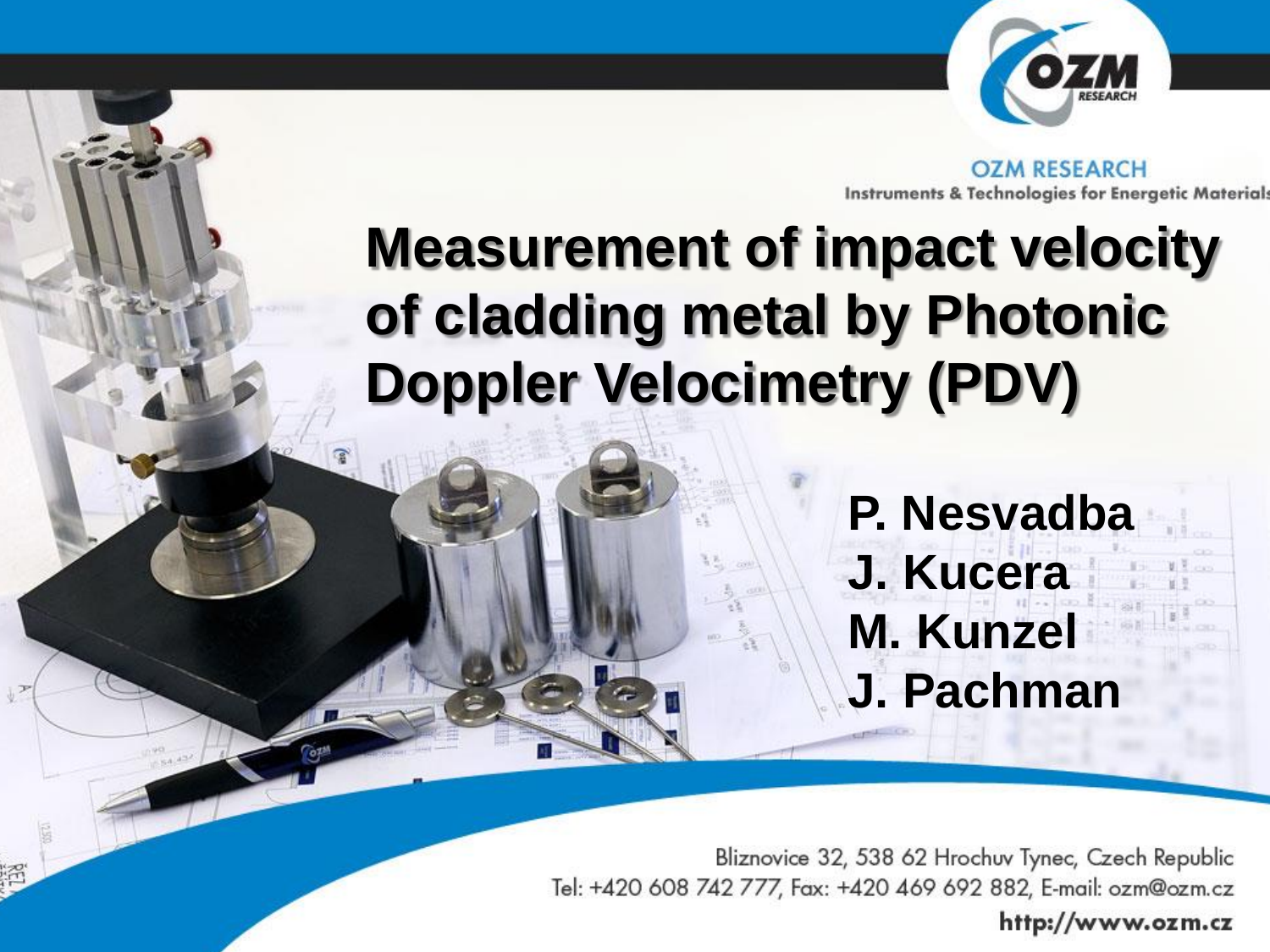

**OZM RESEARCH** Instruments & Technologies for Energetic Material:

# **Measurement of impact velocity of cladding metal by Photonic Doppler Velocimetry (PDV)**

**P. Nesvadba J. Kucera M. Kunzel J. Pachman**

Bliznovice 32, 538 62 Hrochuv Tynec, Czech Republic Tel: +420 608 742 777, Fax: +420 469 692 882, E-mail: ozm@ozm.cz

http://www.ozm.cz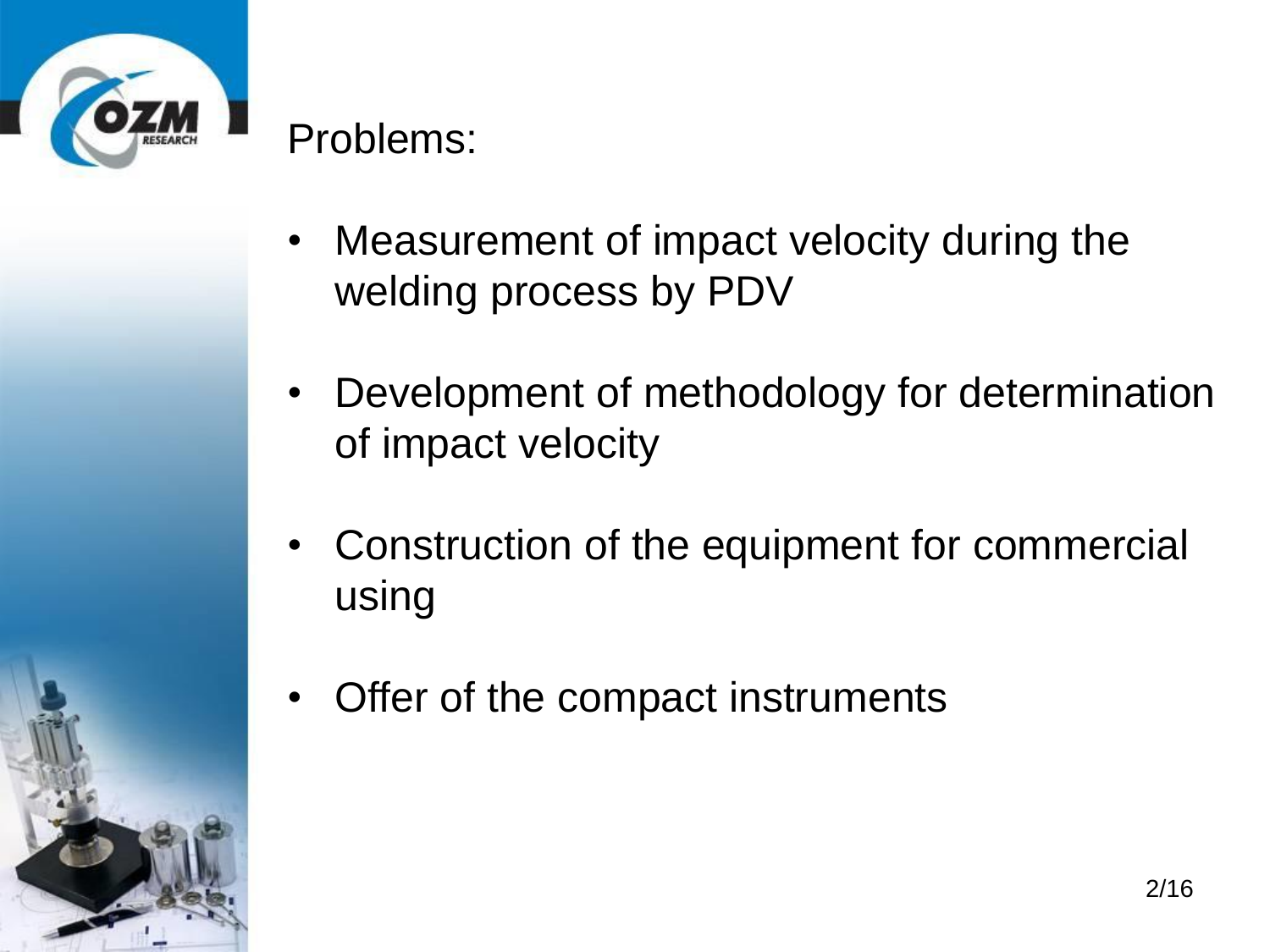

## Problems:

- Measurement of impact velocity during the welding process by PDV
- Development of methodology for determination of impact velocity
- Construction of the equipment for commercial using
- Offer of the compact instruments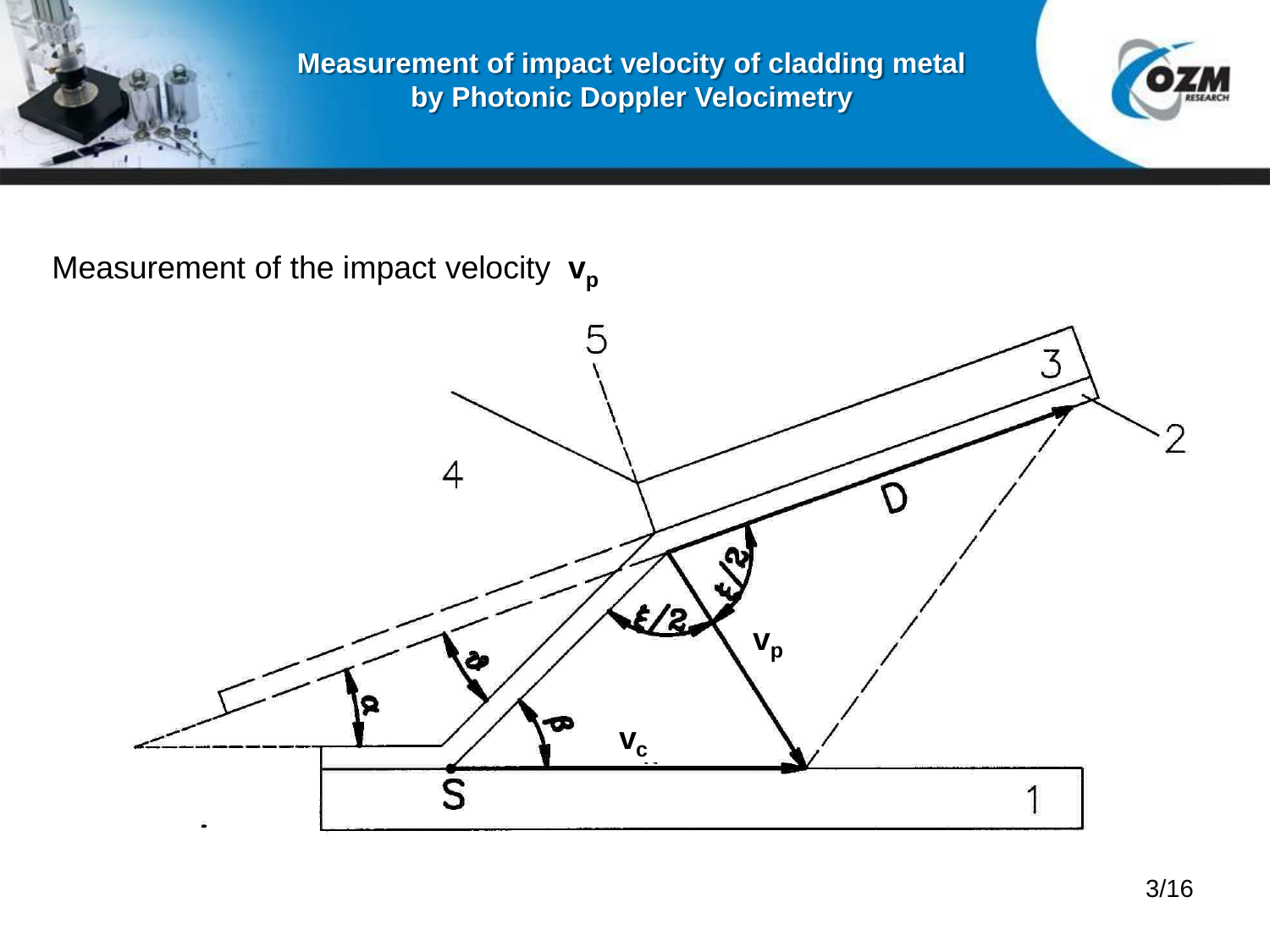



Measurement of the impact velocity  $v_p$ 

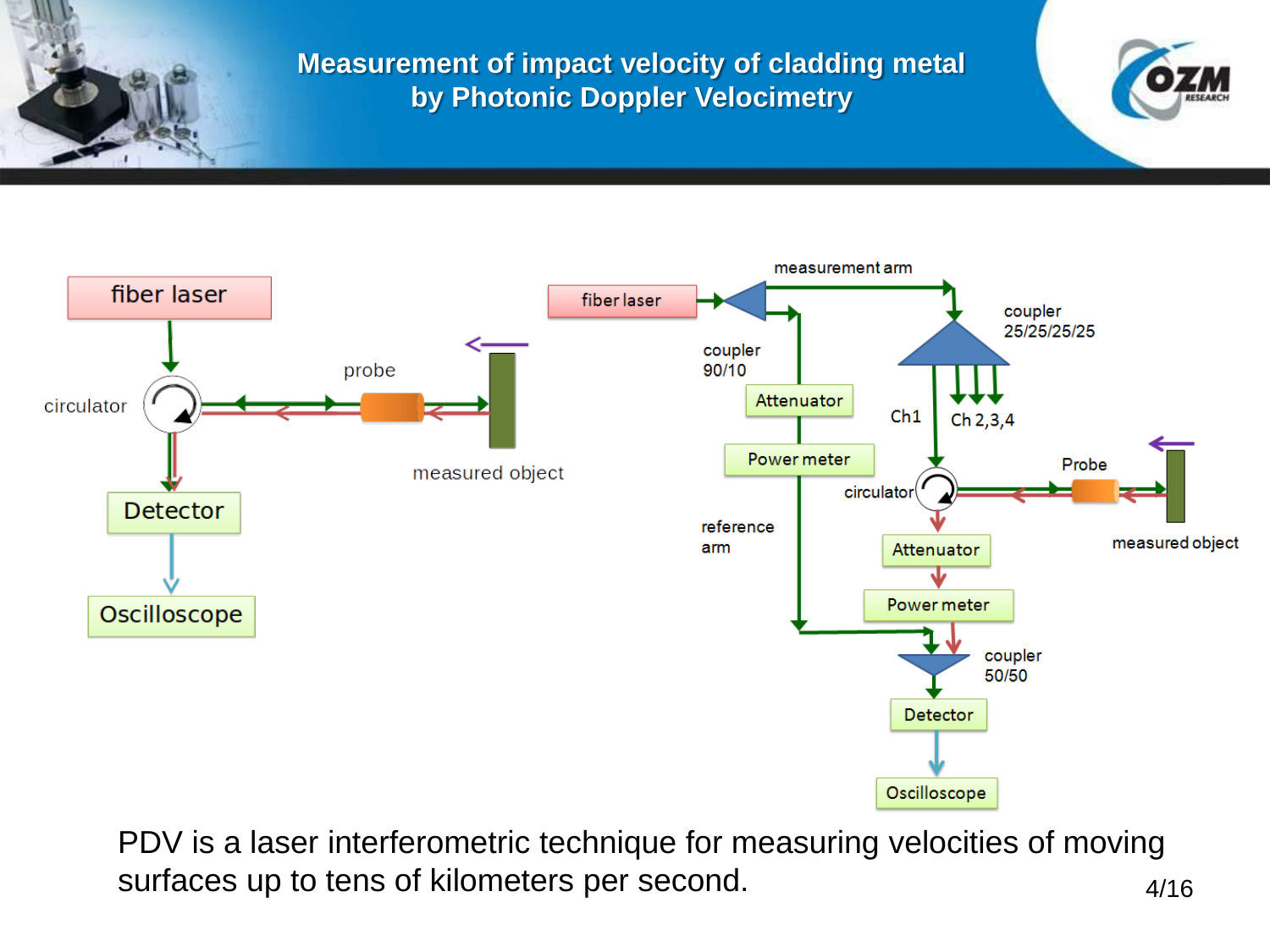



PDV is a laser interferometric technique for measuring velocities of moving surfaces up to tens of kilometers per second. 4/16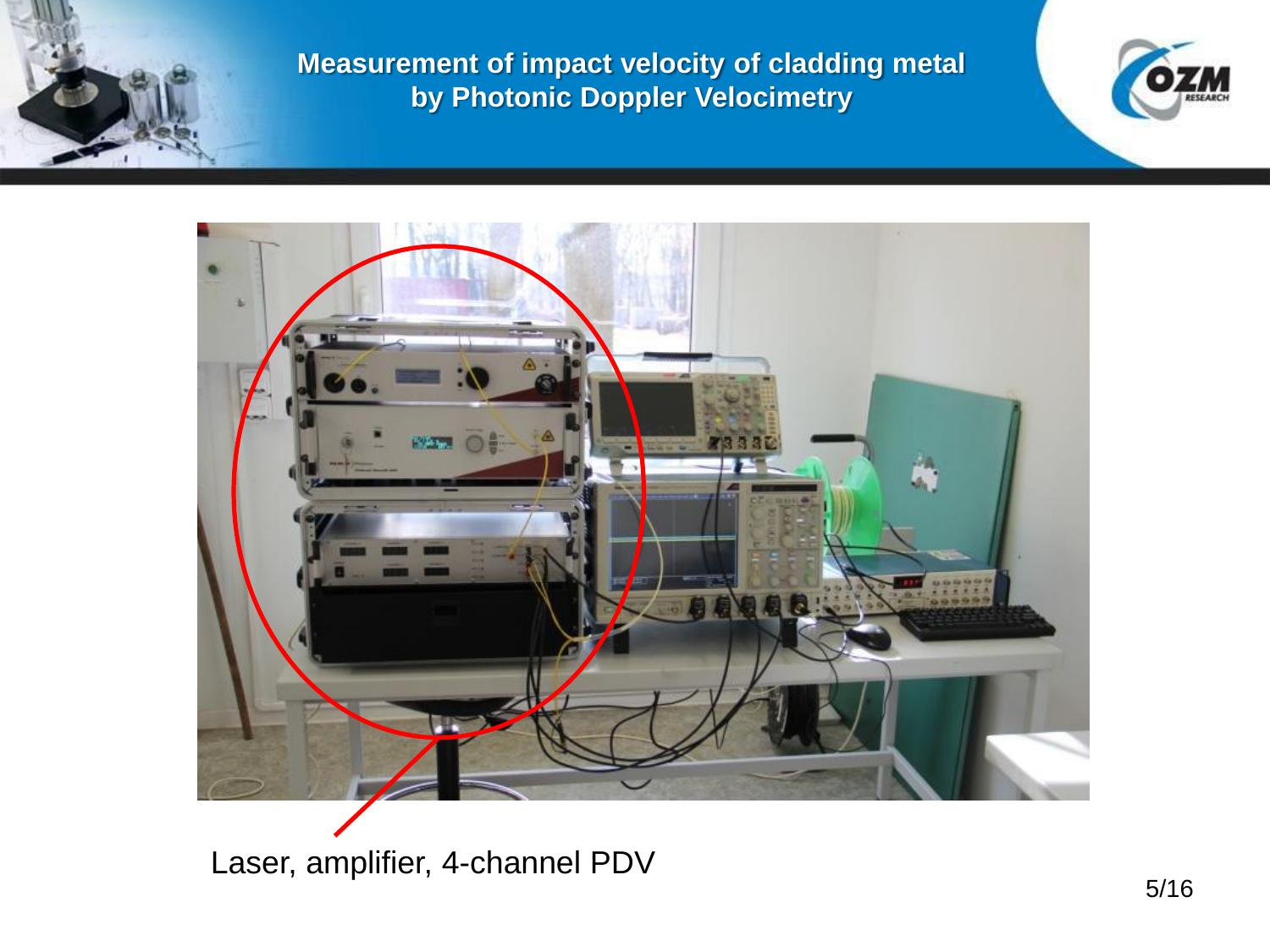



Laser, amplifier, 4-channel PDV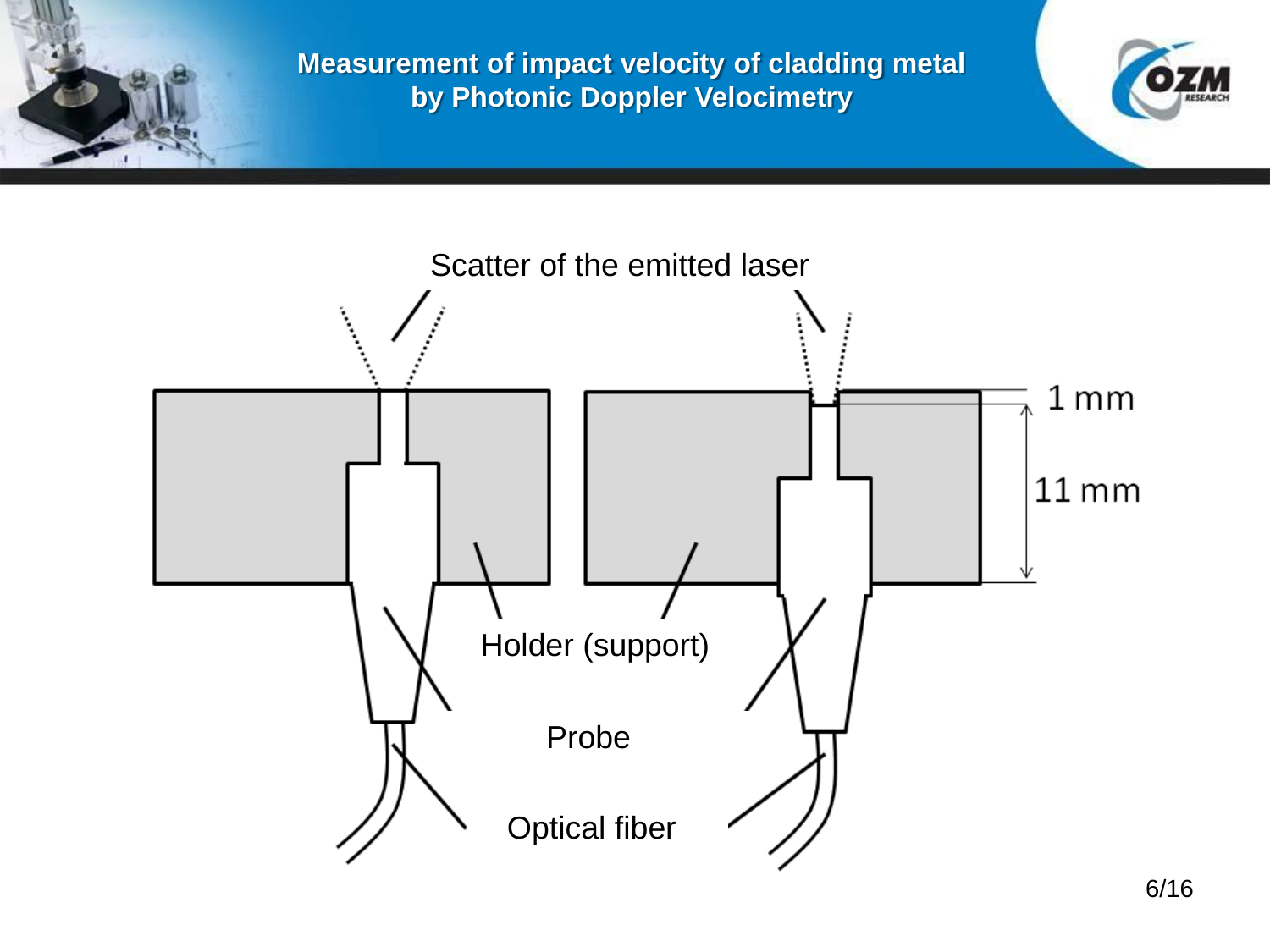

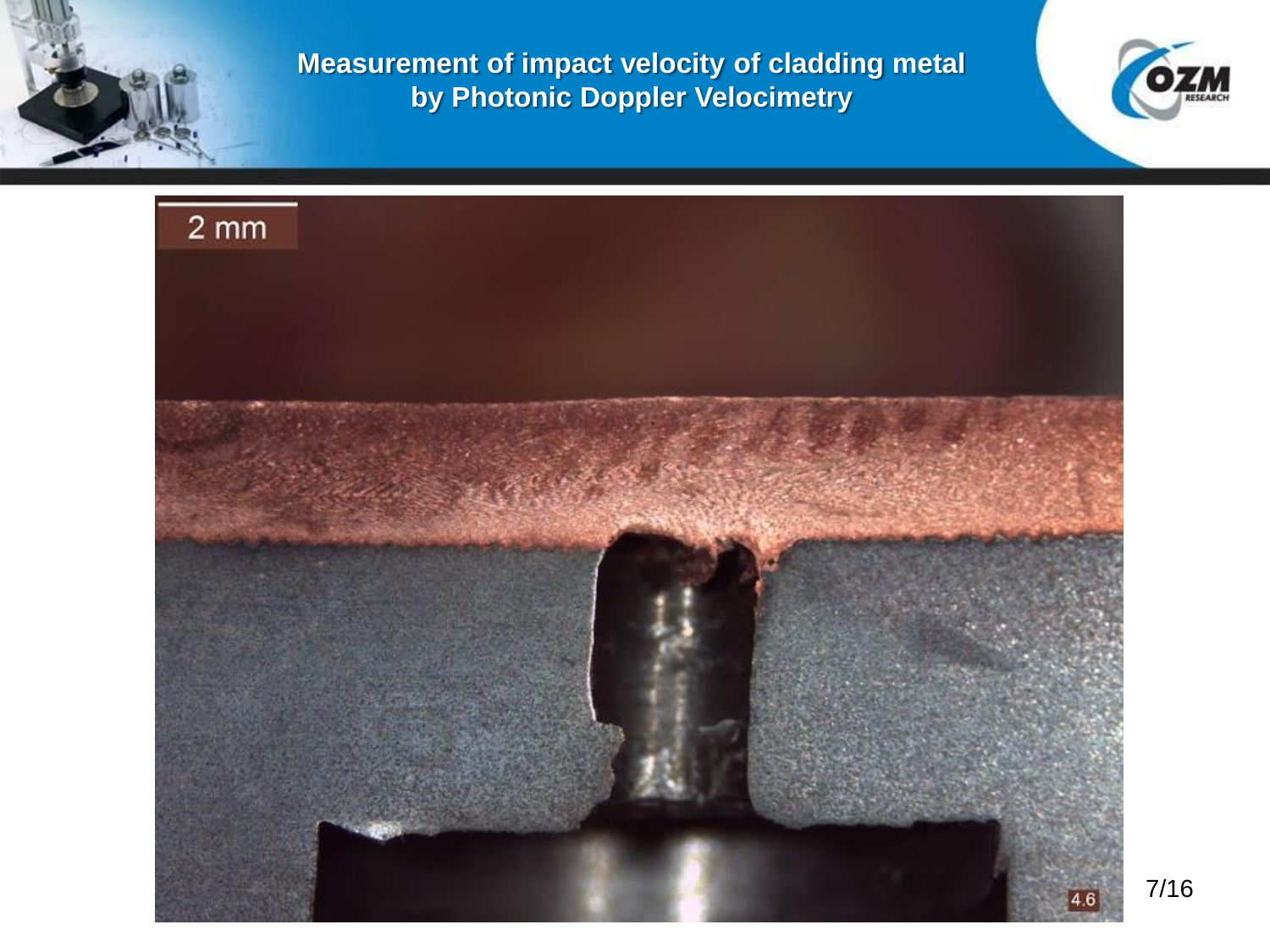



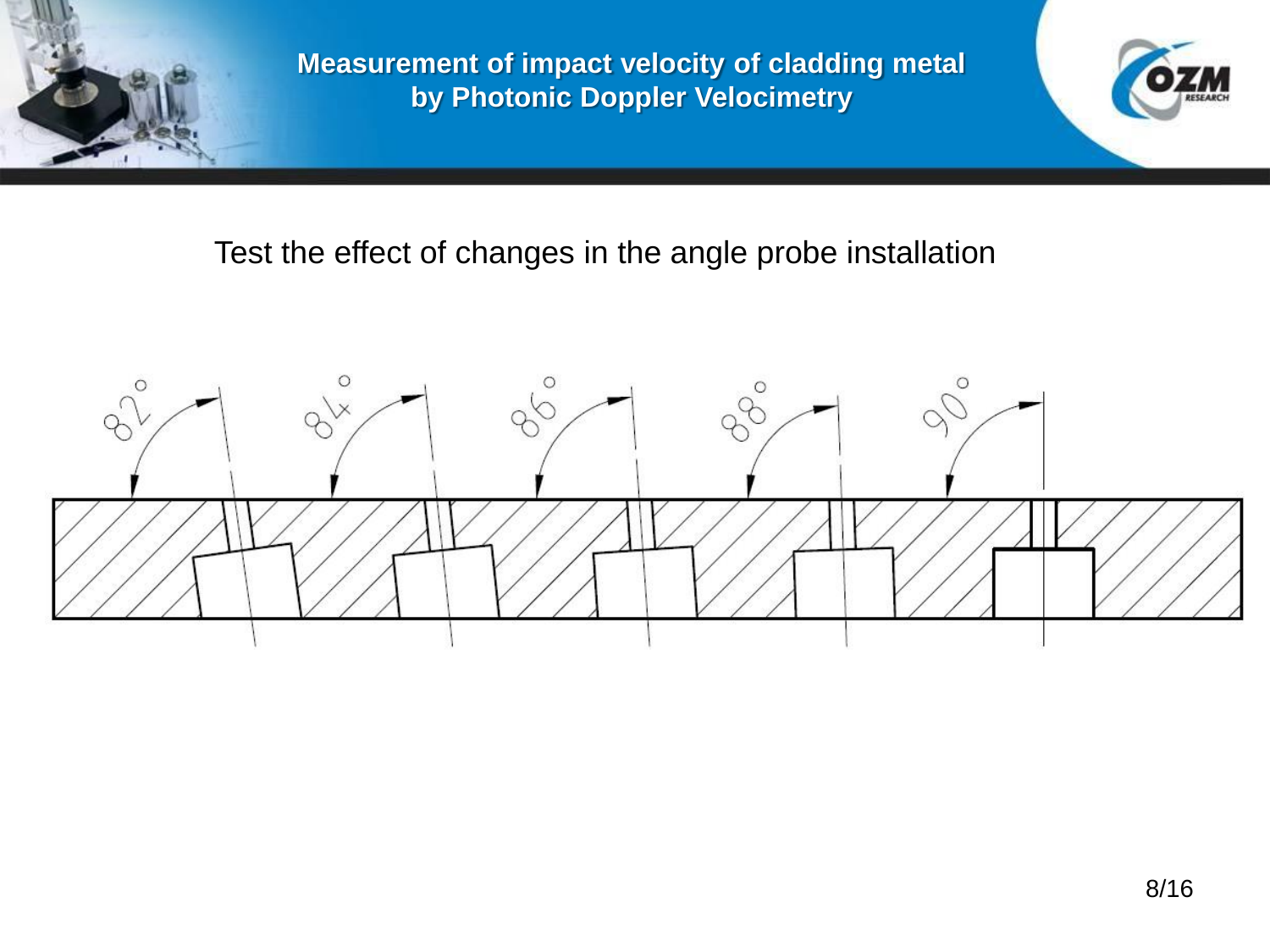

## Test the effect of changes in the angle probe installation

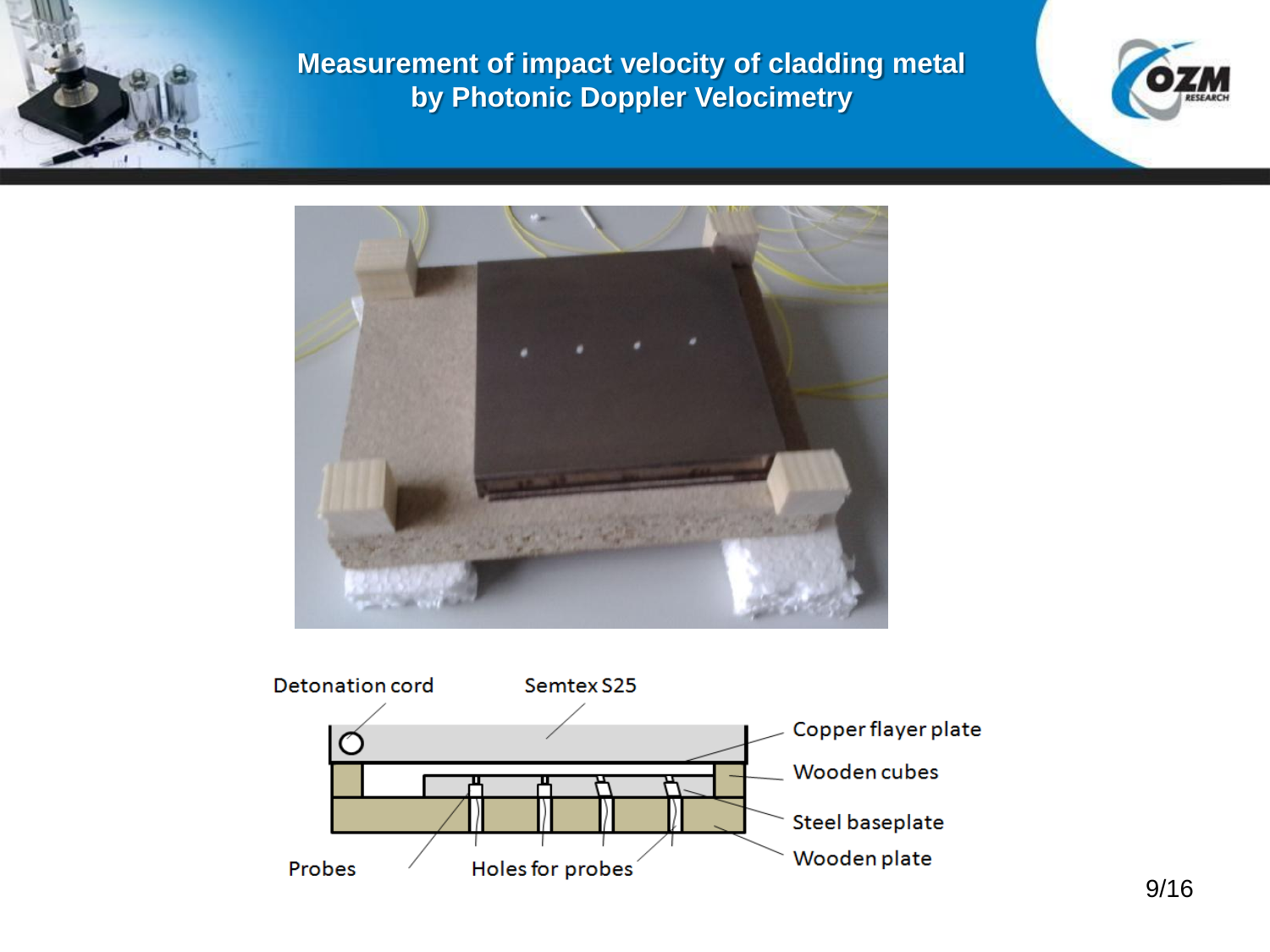





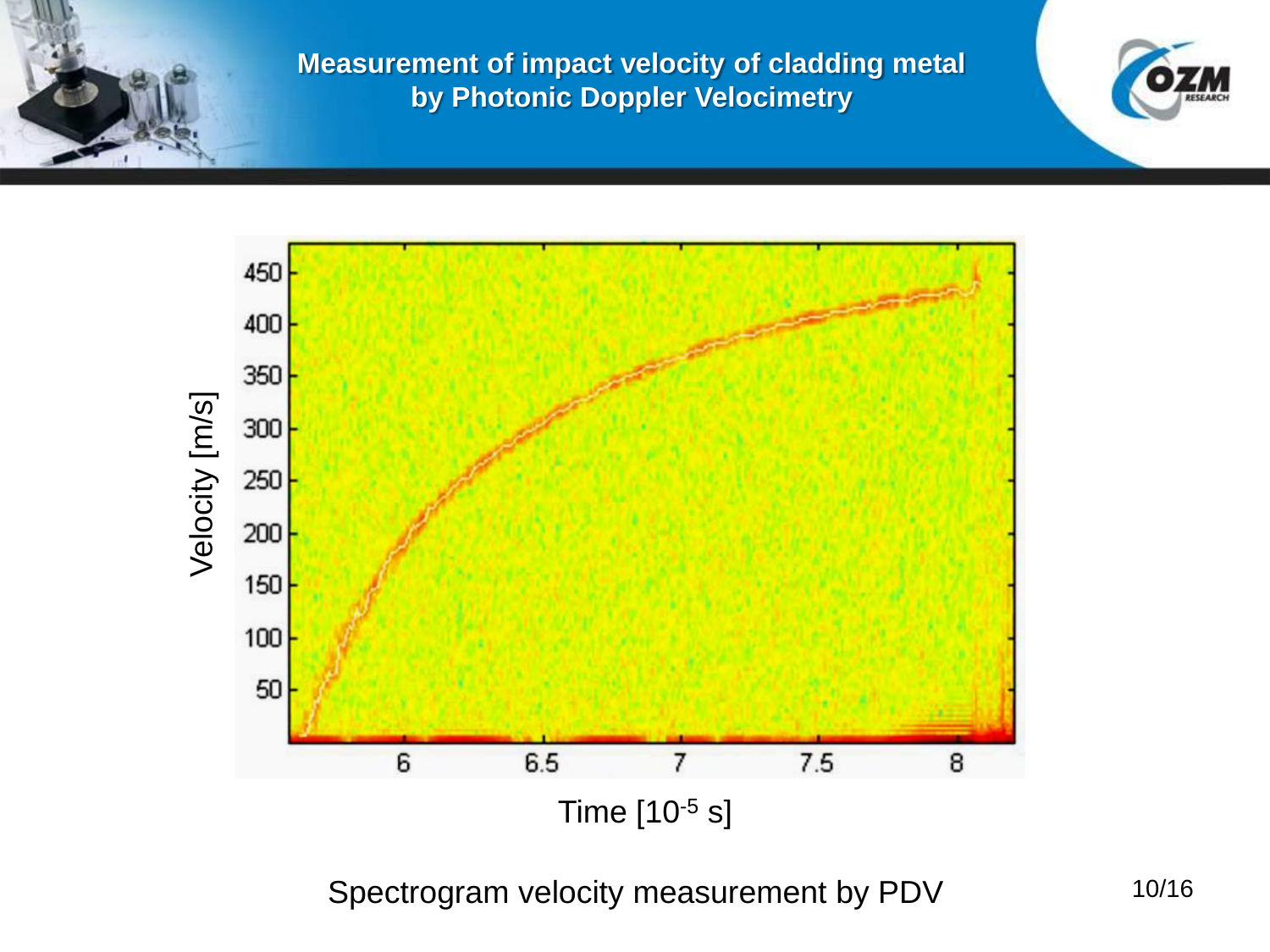



Spectrogram velocity measurement by PDV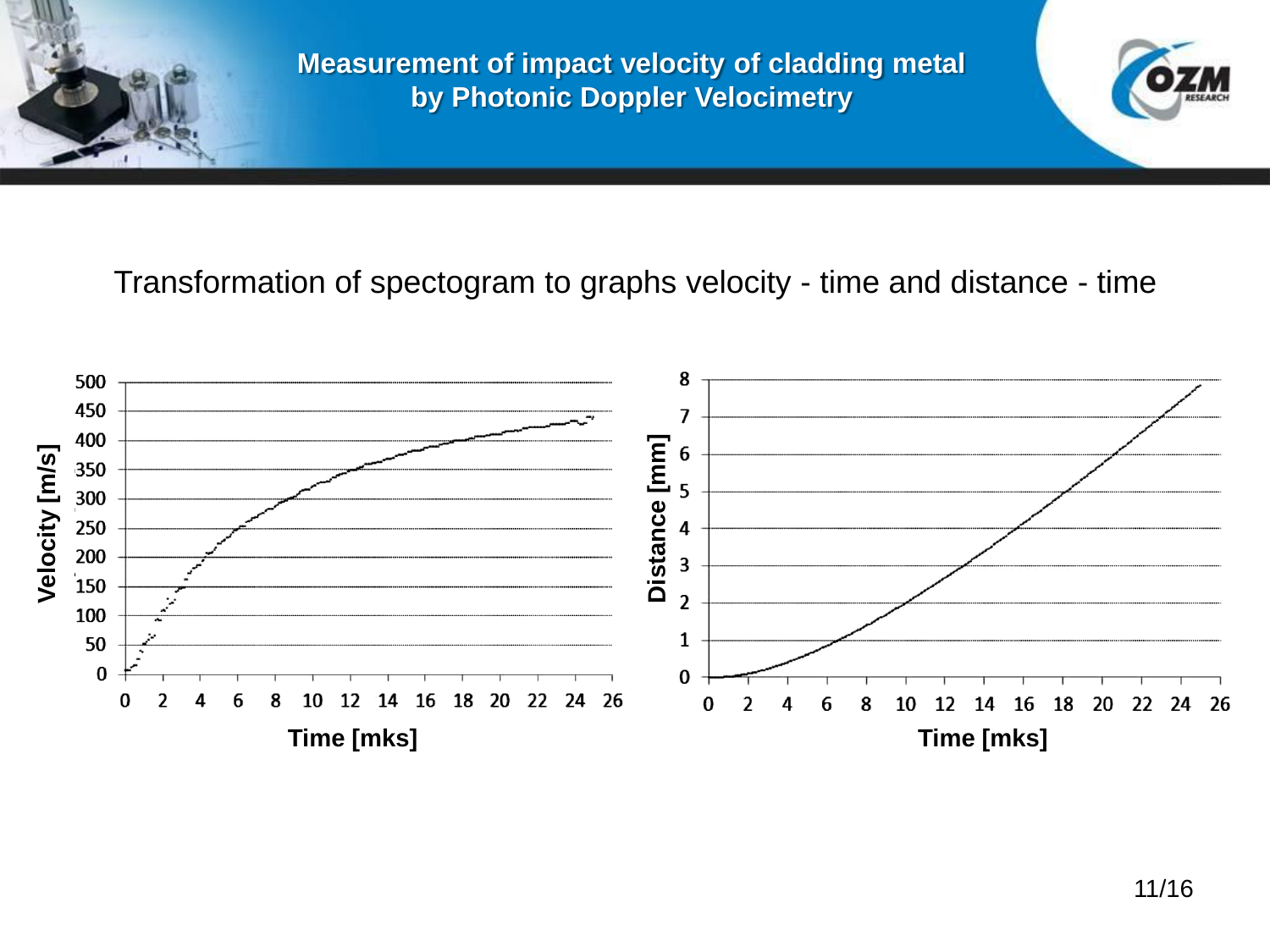

Transformation of spectogram to graphs velocity - time and distance - time

### 8 500 450  $\overline{7}$ 400 Distance [mm] **Distance [mm]** 6 Velocity [m/s] **Velocity [m/s]** 350 5 300 250 4 200  $\overline{\mathbf{3}}$ 150  $\overline{2}$ 100  $\mathbf{1}$ 50  $\bf{0}$  $\bf{0}$  $\bf{0}$ 8  $12 \overline{ }$  $14$ 16 18 20 22 24 26 2 4 6 10 8 18 20 22 24 26  $\bf{0}$  $\overline{2}$ 6 10 12 14 16 **Time [mks] Time [mks]**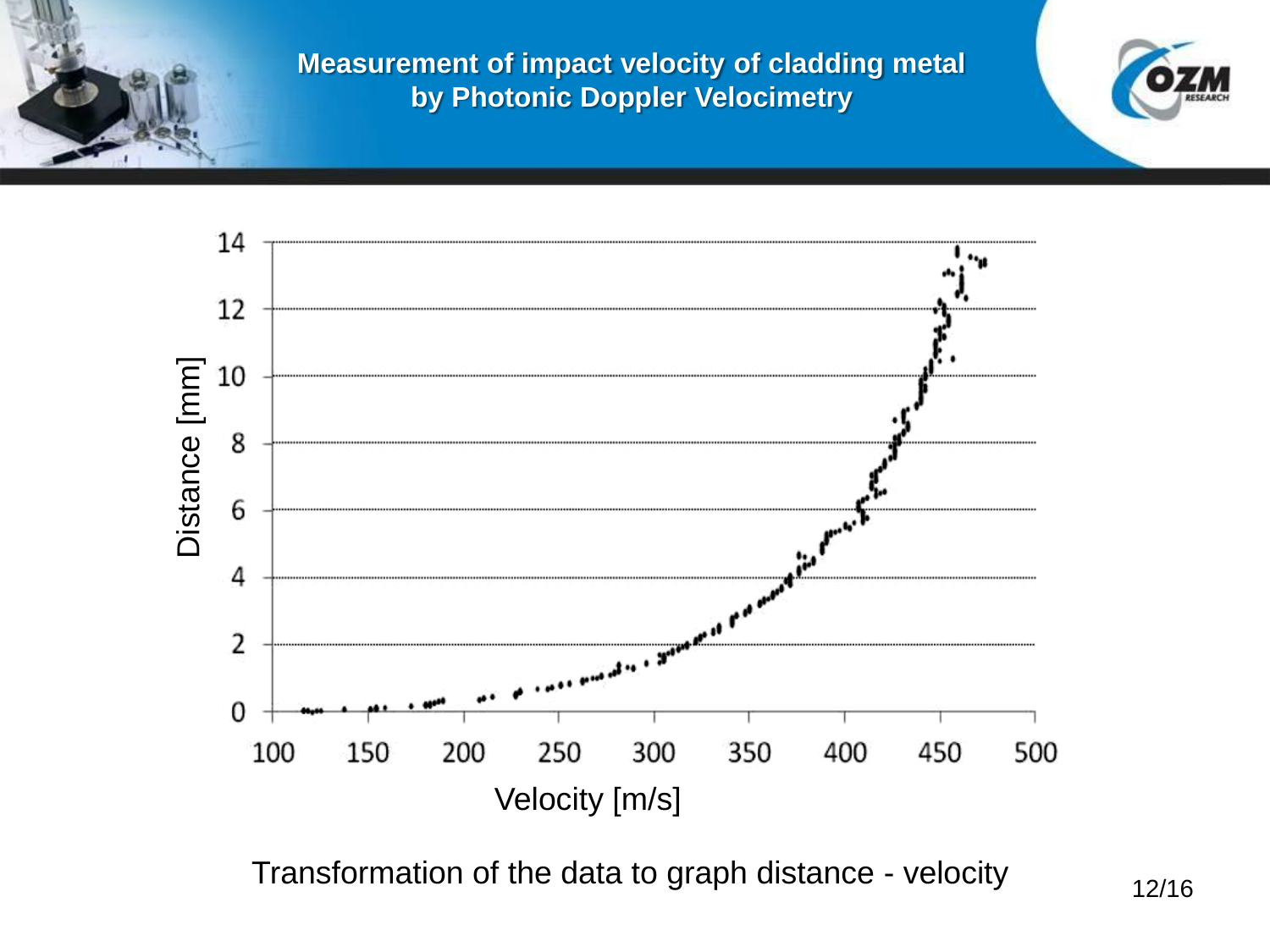



Transformation of the data to graph distance - velocity 12/16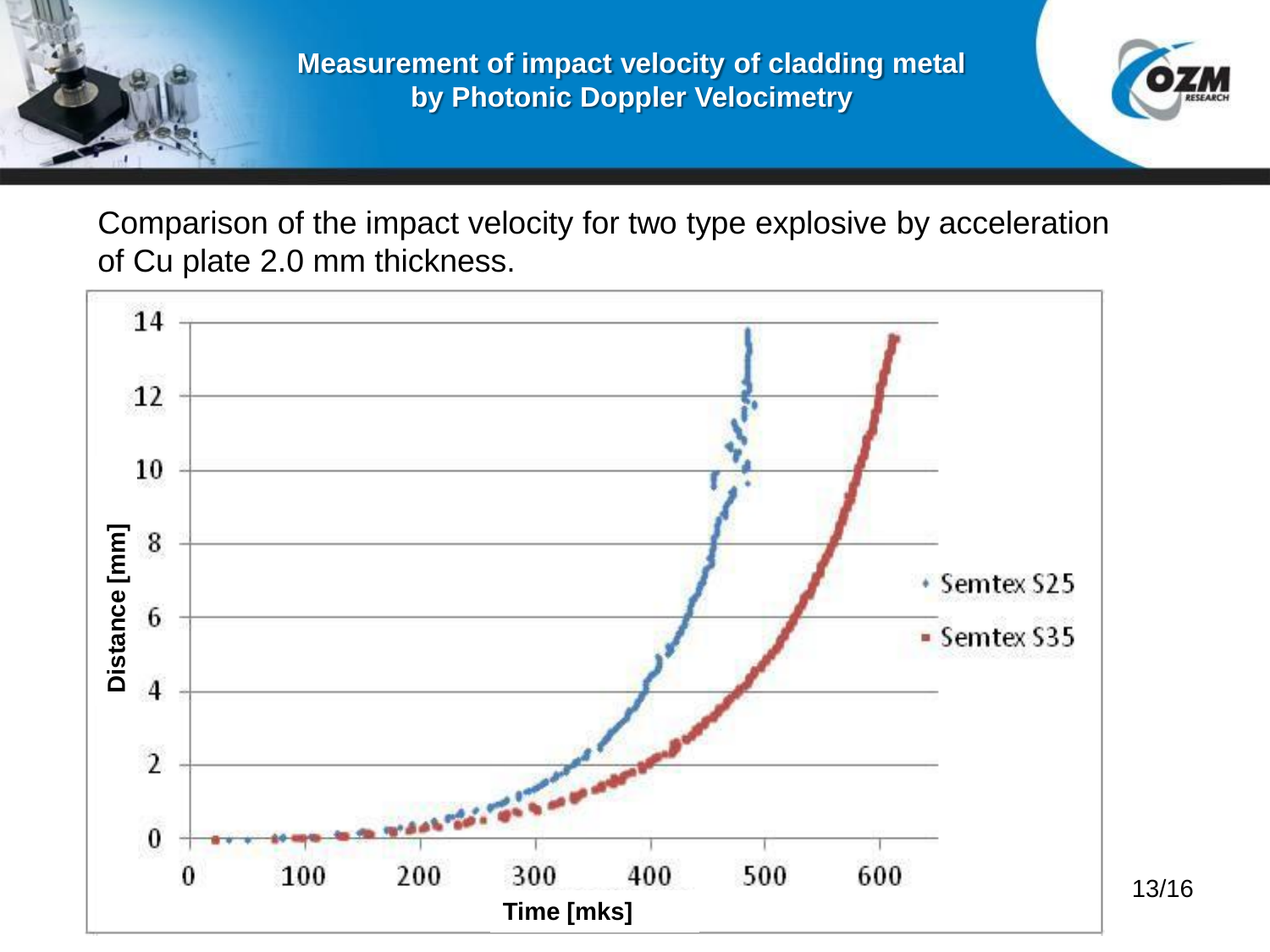

Comparison of the impact velocity for two type explosive by acceleration of Cu plate 2.0 mm thickness.



13/16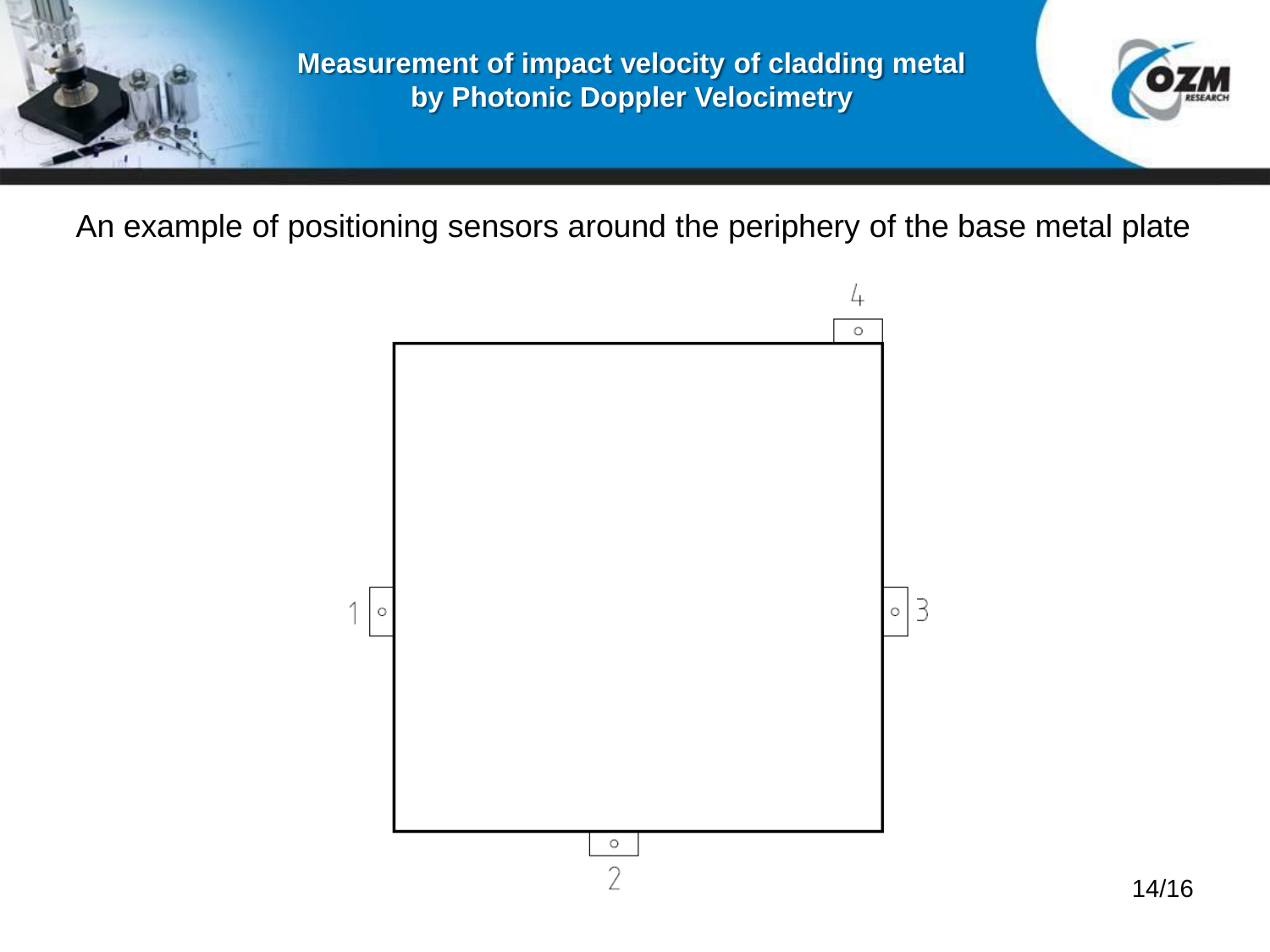

An example of positioning sensors around the periphery of the base metal plate

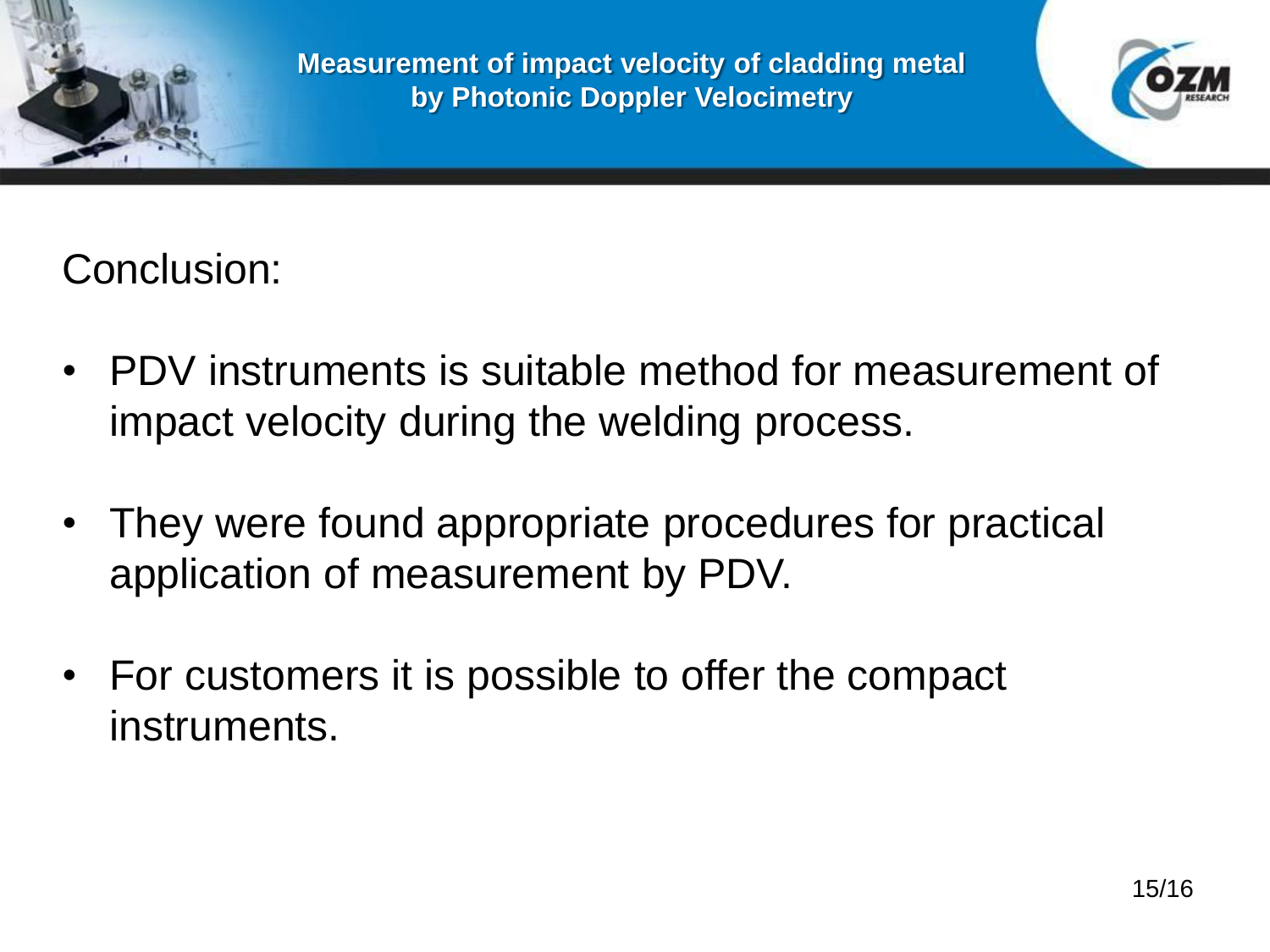



Conclusion:

- PDV instruments is suitable method for measurement of impact velocity during the welding process.
- They were found appropriate procedures for practical application of measurement by PDV.
- For customers it is possible to offer the compact instruments.